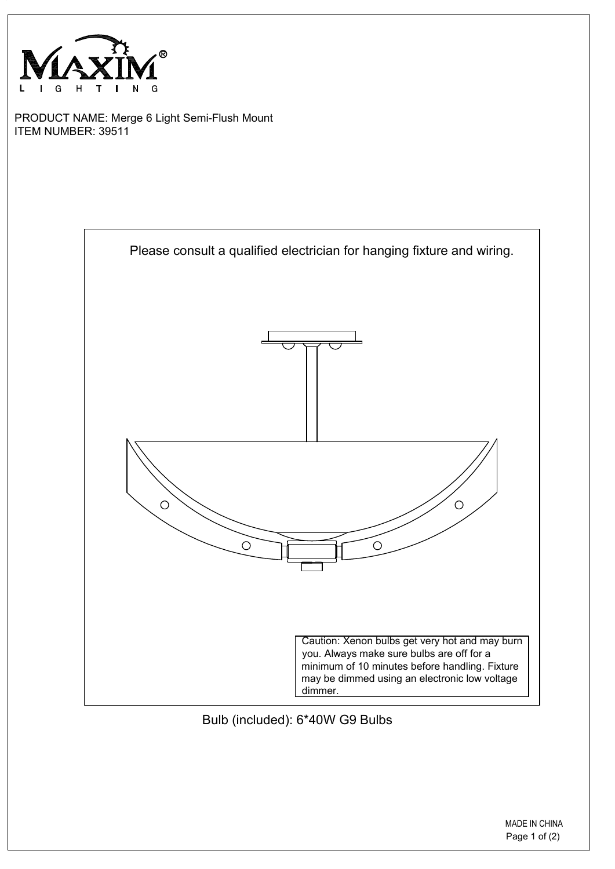

PRODUCT NAME: Merge 6 Light Semi-Flush Mount ITEM NUMBER: 39511